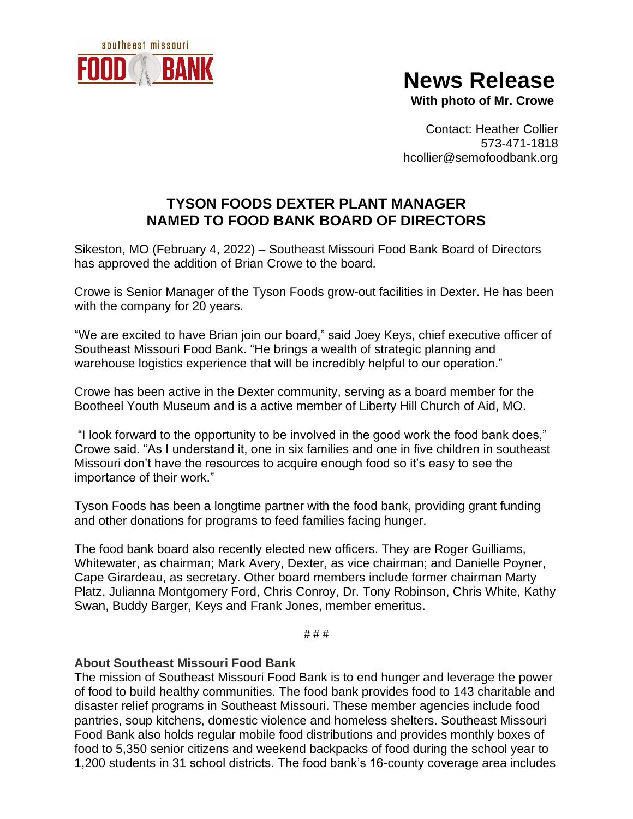

## **News Release**

 **With photo of Mr. Crowe**

Contact: Heather Collier 573-471-1818 hcollier@semofoodbank.org

## **TYSON FOODS DEXTER PLANT MANAGER NAMED TO FOOD BANK BOARD OF DIRECTORS**

Sikeston, MO (February 4, 2022) – Southeast Missouri Food Bank Board of Directors has approved the addition of Brian Crowe to the board.

Crowe is Senior Manager of the Tyson Foods grow-out facilities in Dexter. He has been with the company for 20 years.

"We are excited to have Brian join our board," said Joey Keys, chief executive officer of Southeast Missouri Food Bank. "He brings a wealth of strategic planning and warehouse logistics experience that will be incredibly helpful to our operation."

Crowe has been active in the Dexter community, serving as a board member for the Bootheel Youth Museum and is a active member of Liberty Hill Church of Aid, MO.

"I look forward to the opportunity to be involved in the good work the food bank does," Crowe said. "As I understand it, one in six families and one in five children in southeast Missouri don't have the resources to acquire enough food so it's easy to see the importance of their work."

Tyson Foods has been a longtime partner with the food bank, providing grant funding and other donations for programs to feed families facing hunger.

The food bank board also recently elected new officers. They are Roger Guilliams, Whitewater, as chairman; Mark Avery, Dexter, as vice chairman; and Danielle Poyner, Cape Girardeau, as secretary. Other board members include former chairman Marty Platz, Julianna Montgomery Ford, Chris Conroy, Dr. Tony Robinson, Chris White, Kathy Swan, Buddy Barger, Keys and Frank Jones, member emeritus.

# # #

## **About Southeast Missouri Food Bank**

The mission of Southeast Missouri Food Bank is to end hunger and leverage the power of food to build healthy communities. The food bank provides food to 143 charitable and disaster relief programs in Southeast Missouri. These member agencies include food pantries, soup kitchens, domestic violence and homeless shelters. Southeast Missouri Food Bank also holds regular mobile food distributions and provides monthly boxes of food to 5,350 senior citizens and weekend backpacks of food during the school year to 1,200 students in 31 school districts. The food bank's 16-county coverage area includes